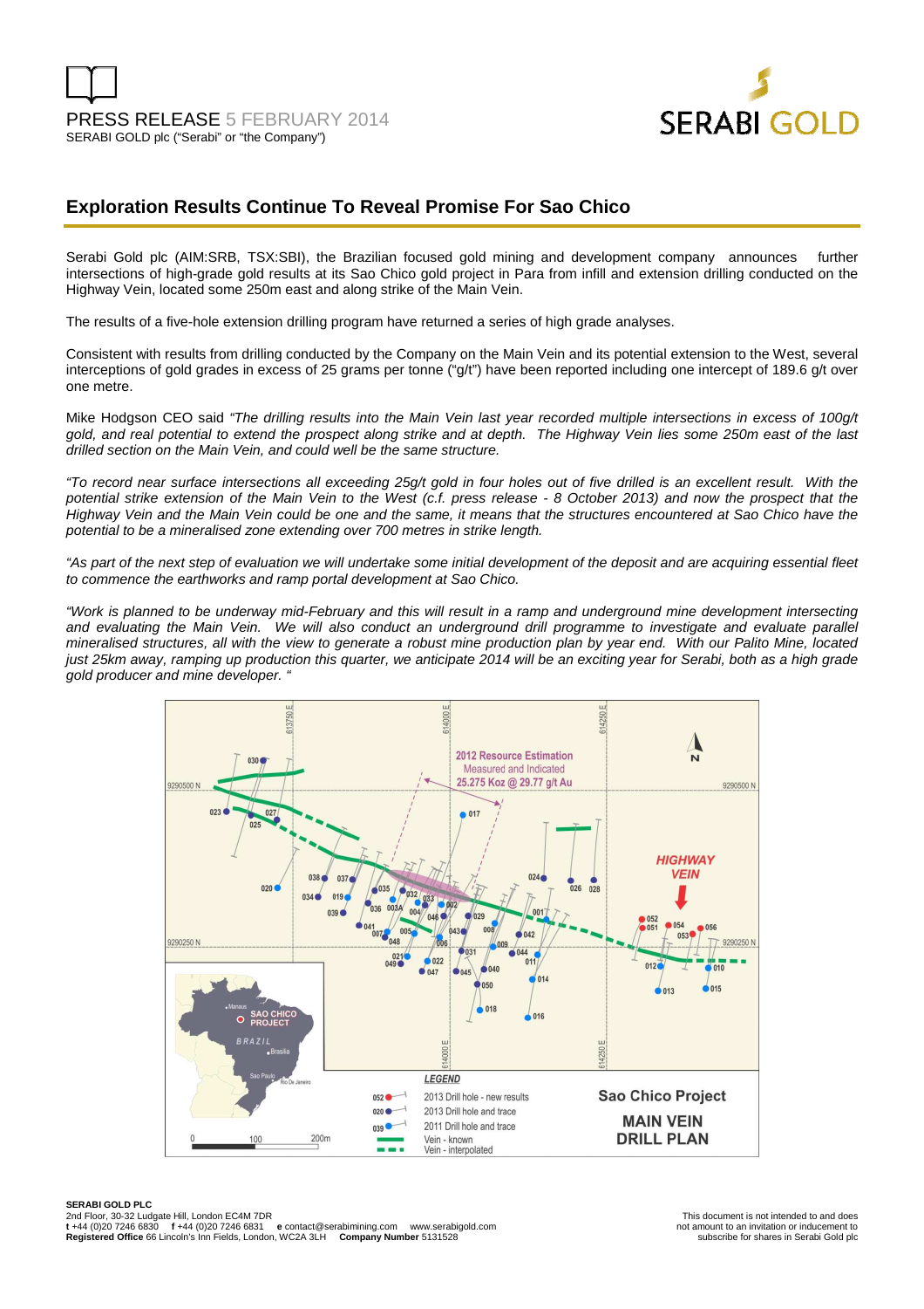

# **Exploration Results Continue To Reveal Promise For Sao Chico**

Serabi Gold plc (AIM:SRB, TSX:SBI), the Brazilian focused gold mining and development company announces further intersections of high-grade gold results at its Sao Chico gold project in Para from infill and extension drilling conducted on the Highway Vein, located some 250m east and along strike of the Main Vein.

The results of a five-hole extension drilling program have returned a series of high grade analyses.

Consistent with results from drilling conducted by the Company on the Main Vein and its potential extension to the West, several interceptions of gold grades in excess of 25 grams per tonne ("g/t") have been reported including one intercept of 189.6 g/t over one metre.

Mike Hodgson CEO said "The drilling results into the Main Vein last year recorded multiple intersections in excess of 100q/t gold, and real potential to extend the prospect along strike and at depth. The Highway Vein lies some 250m east of the last drilled section on the Main Vein, and could well be the same structure.

"To record near surface intersections all exceeding 25g/t gold in four holes out of five drilled is an excellent result. With the potential strike extension of the Main Vein to the West (c.f. press release - 8 October 2013) and now the prospect that the Highway Vein and the Main Vein could be one and the same, it means that the structures encountered at Sao Chico have the potential to be a mineralised zone extending over 700 metres in strike length.

"As part of the next step of evaluation we will undertake some initial development of the deposit and are acquiring essential fleet to commence the earthworks and ramp portal development at Sao Chico.

"Work is planned to be underway mid-February and this will result in a ramp and underground mine development intersecting and evaluating the Main Vein. We will also conduct an underground drill programme to investigate and evaluate parallel mineralised structures, all with the view to generate a robust mine production plan by year end. With our Palito Mine, located just 25km away, ramping up production this quarter, we anticipate 2014 will be an exciting year for Serabi, both as a high grade gold producer and mine developer. "

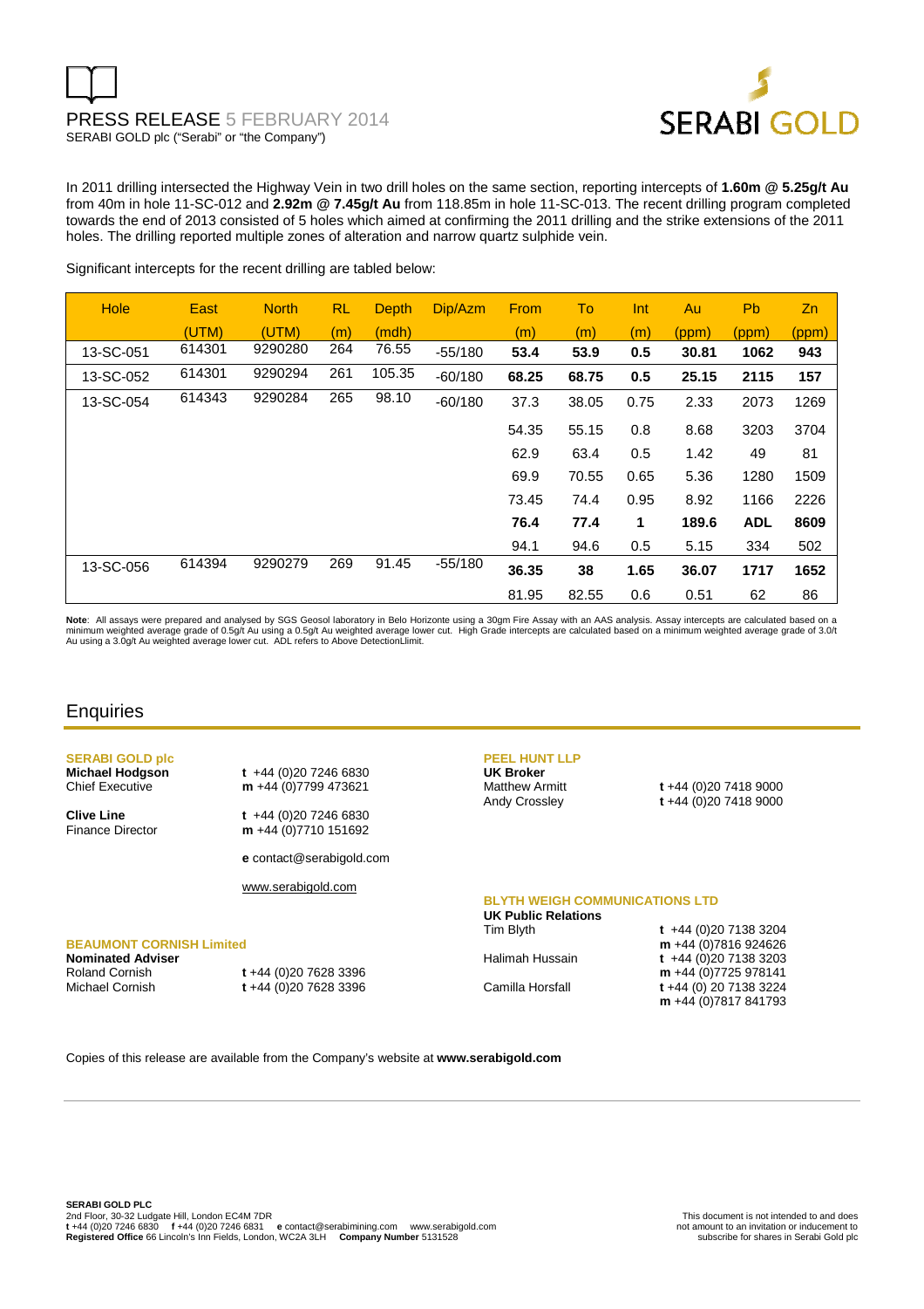# PRESS RELEASE 5 FEBRUARY 2014 SERABI GOLD plc ("Serabi" or "the Company")



In 2011 drilling intersected the Highway Vein in two drill holes on the same section, reporting intercepts of **1.60m @ 5.25g/t Au** from 40m in hole 11-SC-012 and **2.92m @ 7.45g/t Au** from 118.85m in hole 11-SC-013. The recent drilling program completed towards the end of 2013 consisted of 5 holes which aimed at confirming the 2011 drilling and the strike extensions of the 2011 holes. The drilling reported multiple zones of alteration and narrow quartz sulphide vein.

Significant intercepts for the recent drilling are tabled below:

| <b>Hole</b> | East   | <b>North</b> | <b>RL</b> | Depth  | Dip/Azm   | From  | To    | Int     | Au    | <b>Pb</b>  | Z <sub>n</sub> |
|-------------|--------|--------------|-----------|--------|-----------|-------|-------|---------|-------|------------|----------------|
|             | (UTM)  | (UTM)        | (m)       | (mdh)  |           | (m)   | (m)   | (m)     | (ppm) | (ppm)      | (ppm)          |
| 13-SC-051   | 614301 | 9290280      | 264       | 76.55  | $-55/180$ | 53.4  | 53.9  | 0.5     | 30.81 | 1062       | 943            |
| 13-SC-052   | 614301 | 9290294      | 261       | 105.35 | $-60/180$ | 68.25 | 68.75 | 0.5     | 25.15 | 2115       | 157            |
| 13-SC-054   | 614343 | 9290284      | 265       | 98.10  | $-60/180$ | 37.3  | 38.05 | 0.75    | 2.33  | 2073       | 1269           |
|             |        |              |           |        |           | 54.35 | 55.15 | 0.8     | 8.68  | 3203       | 3704           |
|             |        |              |           |        |           | 62.9  | 63.4  | 0.5     | 1.42  | 49         | 81             |
|             |        |              |           |        |           | 69.9  | 70.55 | 0.65    | 5.36  | 1280       | 1509           |
|             |        |              |           |        |           | 73.45 | 74.4  | 0.95    | 8.92  | 1166       | 2226           |
|             |        |              |           |        |           | 76.4  | 77.4  | 1       | 189.6 | <b>ADL</b> | 8609           |
|             |        |              |           |        |           | 94.1  | 94.6  | $0.5\,$ | 5.15  | 334        | 502            |
| 13-SC-056   | 614394 | 9290279      | 269       | 91.45  | $-55/180$ | 36.35 | 38    | 1.65    | 36.07 | 1717       | 1652           |
|             |        |              |           |        |           | 81.95 | 82.55 | 0.6     | 0.51  | 62         | 86             |

Note: All assays were prepared and analysed by SGS Geosol laboratory in Belo Horizonte using a 30gm Fire Assay with an AAS analysis. Assay intercepts are calculated based on a minimum weighted average grade of 0.5g/t Au using a 0.5g/t Au weighted average lower cut. High Grade intercepts are calculated based on a minimum weighted average grade of 3.0/t<br>Au using a 3.0g/t Au weighted average lower

## **Enquiries**

**SERABI GOLD plc Michael Hodgson t** +44 (0)20 7246 6830 Chief Executive **m** +44 (0)7799 473621 **Clive Line** t +44 (0)20 7246 6830<br>Finance Director **m** +44 (0)7710 151692 m +44 (0)7710 151692 **e** contact@serabigold.com www.serabigold.com **BEAUMONT CORNISH Limited PEEL HUNT LLP UK Broker** Matthew Armitt **t** +44 (0)20 7418 9000 Andy Crossley **t** +44 (0)20 7418 9000 **BLYTH WEIGH COMMUNICATIONS LTD UK Public Relations**  Tim Blyth **t** +44 (0)20 7138 3204 **m** +44 (0)7816 924626 Halimah Hussain **t** +44 (0)<sup>20</sup> 7138 3203

**Nominated Adviser** 

Roland Cornish **t** +44 (0)20 7628 3396 Michael Cornish **t** +44 (0)20 7628 3396

**m** +44 (0)7725 978141 Camilla Horsfall **t** +44 (0) 20 7138 3224 **m** +44 (0)7817 841793

Copies of this release are available from the Company's website at **www.serabigold.com**